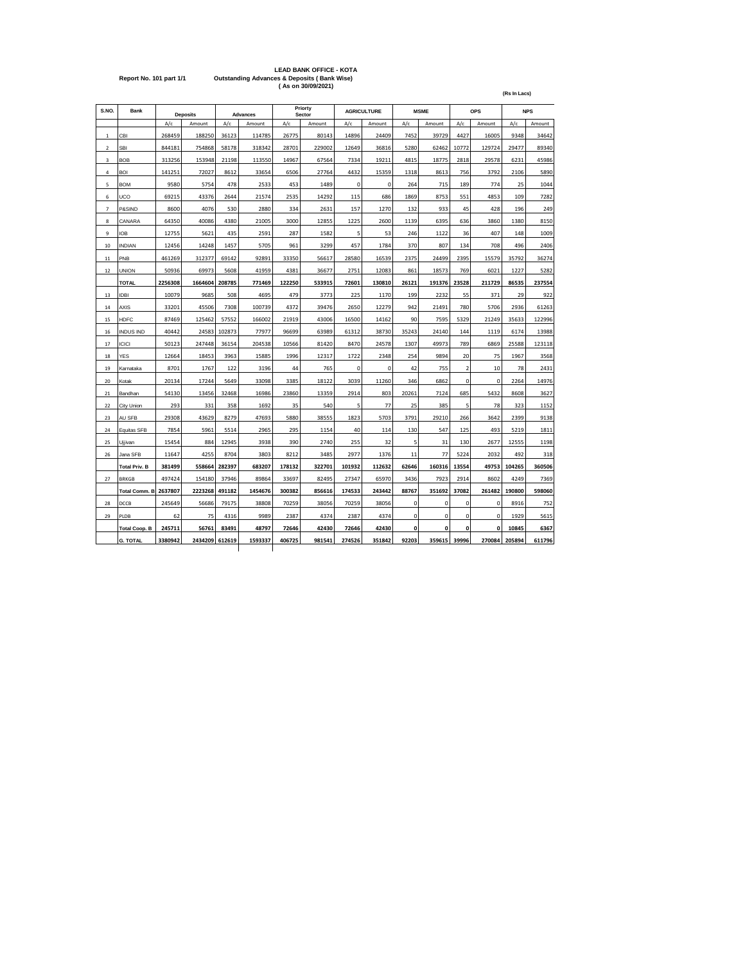|                         | <b>LEAD BANK OFFICE - KOTA</b>                         |
|-------------------------|--------------------------------------------------------|
| Report No. 101 part 1/1 | <b>Outstanding Advances &amp; Deposits (Bank Wise)</b> |
|                         | (As on 30/09/2021)                                     |

| S.NO.          | <b>Bank</b>          |         | <b>Deposits</b> |        | <b>Advances</b> |        | Priorty<br>Sector |        | <b>AGRICULTURE</b> |             | <b>MSME</b>  |                | <b>OPS</b>  |        | <b>NPS</b> |
|----------------|----------------------|---------|-----------------|--------|-----------------|--------|-------------------|--------|--------------------|-------------|--------------|----------------|-------------|--------|------------|
|                |                      | A/c     | Amount          | A/c    | Amount          | A/c    | Amount            | A/c    | Amount             | A/c         | Amount       | A/c            | Amount      | A/c    | Amount     |
| 1              | CBI                  | 268459  | 188250          | 36123  | 114785          | 26775  | 80143             | 14896  | 24409              | 7452        | 39729        | 4427           | 16005       | 9348   | 34642      |
| $\overline{2}$ | SBI                  | 844181  | 754868          | 58178  | 318342          | 28701  | 229002            | 12649  | 36816              | 5280        | 62462        | 10772          | 129724      | 29477  | 89340      |
| 3              | <b>BOB</b>           | 313256  | 153948          | 21198  | 113550          | 14967  | 67564             | 7334   | 19211              | 4815        | 18775        | 2818           | 29578       | 6231   | 45986      |
| 4              | <b>BOI</b>           | 141251  | 72027           | 8612   | 33654           | 6506   | 27764             | 4432   | 15359              | 1318        | 8613         | 756            | 3792        | 2106   | 5890       |
| 5              | <b>BOM</b>           | 9580    | 5754            | 478    | 2533            | 453    | 1489              | 0      | 0                  | 264         | 715          | 189            | 774         | 25     | 1044       |
| 6              | UCO                  | 69215   | 43376           | 2644   | 21574           | 2535   | 14292             | 115    | 686                | 1869        | 8753         | 551            | 4853        | 109    | 7282       |
| $\overline{7}$ | P&SIND               | 8600    | 4076            | 530    | 2880            | 334    | 2631              | 157    | 1270               | 132         | 933          | 45             | 428         | 196    | 249        |
| 8              | CANARA               | 64350   | 40086           | 4380   | 21005           | 3000   | 12855             | 1225   | 2600               | 1139        | 6395         | 636            | 3860        | 1380   | 8150       |
| 9              | IOB                  | 12755   | 5621            | 435    | 2591            | 287    | 1582              | 5      | 53                 | 246         | 1122         | 36             | 407         | 148    | 1009       |
| 10             | <b>INDIAN</b>        | 12456   | 14248           | 1457   | 5705            | 961    | 3299              | 457    | 1784               | 370         | 807          | 134            | 708         | 496    | 2406       |
| 11             | PNB                  | 461269  | 312377          | 69142  | 92891           | 33350  | 56617             | 28580  | 16539              | 2375        | 24499        | 2395           | 15579       | 35792  | 36274      |
| 12             | <b>UNION</b>         | 50936   | 69973           | 5608   | 41959           | 4381   | 36677             | 2751   | 12083              | 861         | 18573        | 769            | 6021        | 1227   | 5282       |
|                | <b>TOTAL</b>         | 2256308 | 1664604         | 208785 | 771469          | 122250 | 533915            | 72601  | 130810             | 26121       | 191376       | 23528          | 211729      | 86535  | 237554     |
| 13             | <b>IDBI</b>          | 10079   | 9685            | 508    | 4695            | 479    | 3773              | 225    | 1170               | 199         | 2232         | 55             | 371         | 29     | 922        |
| 14             | AXIS                 | 33201   | 45506           | 7308   | 100739          | 4372   | 39476             | 2650   | 12279              | 942         | 21491        | 780            | 5706        | 2936   | 61263      |
| 15             | HDFC                 | 87469   | 125462          | 57552  | 166002          | 21919  | 43006             | 16500  | 14162              | 90          | 7595         | 5329           | 21249       | 35633  | 122996     |
| 16             | <b>INDUS IND</b>     | 40442   | 24583           | 102873 | 77977           | 96699  | 63989             | 61312  | 38730              | 35243       | 24140        | 144            | 1119        | 6174   | 13988      |
| 17             | ICICI                | 50123   | 247448          | 36154  | 204538          | 10566  | 81420             | 8470   | 24578              | 1307        | 49973        | 789            | 6869        | 25588  | 123118     |
| 18             | YES                  | 12664   | 18453           | 3963   | 15885           | 1996   | 12317             | 1722   | 2348               | 254         | 9894         | 20             | 75          | 1967   | 3568       |
| 19             | Karnataka            | 8701    | 1767            | 122    | 3196            | 44     | 765               | 0      | $\mathbf 0$        | 42          | 755          | $\overline{2}$ | 10          | 78     | 2431       |
| 20             | Kotak                | 20134   | 17244           | 5649   | 33098           | 3385   | 18122             | 3039   | 11260              | 346         | 6862         | 0              | 0           | 2264   | 14976      |
| 21             | Bandhan              | 54130   | 13456           | 32468  | 16986           | 23860  | 13359             | 2914   | 803                | 20261       | 7124         | 685            | 5432        | 8608   | 3627       |
| 22             | City Union           | 293     | 331             | 358    | 1692            | 35     | 540               | 5      | 77                 | 25          | 385          | 5              | 78          | 323    | 1152       |
| 23             | AU SFB               | 29308   | 43629           | 8279   | 47693           | 5880   | 38555             | 1823   | 5703               | 3791        | 29210        | 266            | 3642        | 2399   | 9138       |
| 24             | Equitas SFB          | 7854    | 5961            | 5514   | 2965            | 295    | 1154              | 40     | 114                | 130         | 547          | 125            | 493         | 5219   | 1811       |
| 25             | Ujjivan              | 15454   | 884             | 12945  | 3938            | 390    | 2740              | 255    | 32                 | 5           | 31           | 130            | 2677        | 12555  | 1198       |
| 26             | Jana SFB             | 11647   | 4255            | 8704   | 3803            | 8212   | 3485              | 2977   | 1376               | 11          | 77           | 5224           | 2032        | 492    | 318        |
|                | <b>Total Priv. B</b> | 381499  | 558664          | 282397 | 683207          | 178132 | 322701            | 101932 | 112632             | 62646       | 160316       | 13554          | 49753       | 104265 | 360506     |
| 27             | <b>BRKGB</b>         | 497424  | 154180          | 37946  | 89864           | 33697  | 82495             | 27347  | 65970              | 3436        | 7923         | 2914           | 8602        | 4249   | 7369       |
|                | <b>Total Comm. B</b> | 2637807 | 2223268         | 491182 | 1454676         | 300382 | 856616            | 174533 | 243442             | 88767       | 351692       | 37082          | 261482      | 190800 | 598060     |
| 28             | DCCB                 | 245649  | 56686           | 79175  | 38808           | 70259  | 38056             | 70259  | 38056              | $\mathbf 0$ | 0            | 0              | 0           | 8916   | 752        |
| 29             | PLDB                 | 62      | 75              | 4316   | 9989            | 2387   | 4374              | 2387   | 4374               | 0           | 0            | 0              | 0           | 1929   | 5615       |
|                | <b>Total Coop. B</b> | 245711  | 56761           | 83491  | 48797           | 72646  | 42430             | 72646  | 42430              | 0           | $\mathbf{0}$ | $\mathbf{0}$   | $\mathbf 0$ | 10845  | 6367       |
|                | <b>G. TOTAL</b>      | 3380942 | 2434209         | 612619 | 1593337         | 406725 | 981541            | 274526 | 351842             | 92203       | 359615       | 39996          | 270084      | 205894 | 611796     |
|                |                      |         |                 |        |                 |        |                   |        |                    |             |              |                |             |        |            |

**(Rs In Lacs)**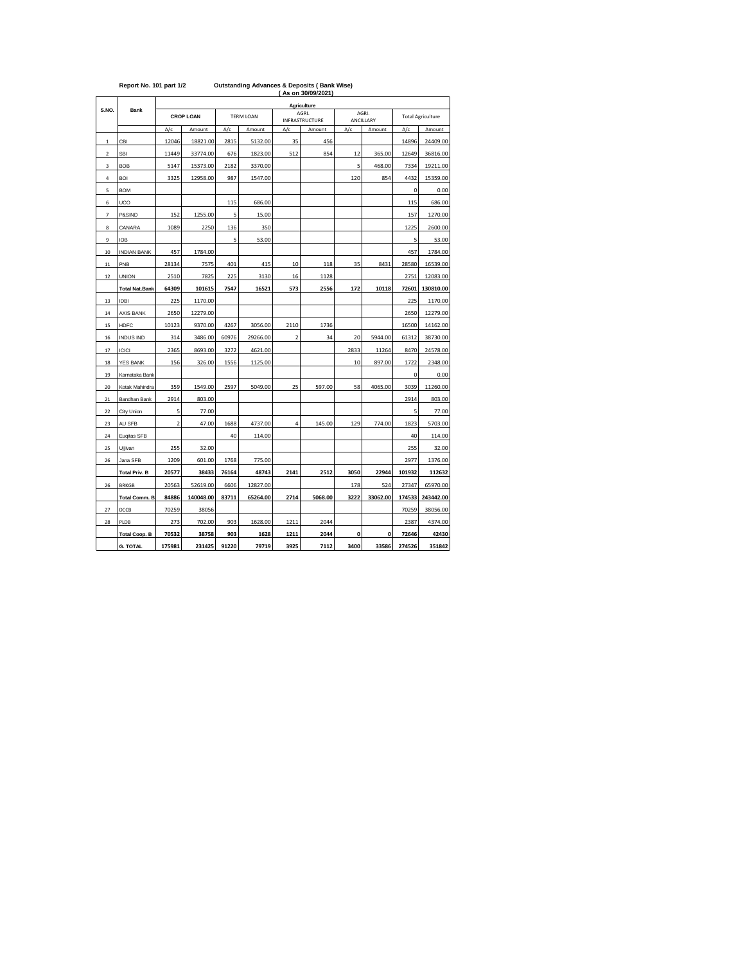| Report No. 101 part 1/2 |  |  |  |  |  |  |
|-------------------------|--|--|--|--|--|--|
|-------------------------|--|--|--|--|--|--|

 **( As on 30/09/2021) Report No. 101 part 1/2 Outstanding Advances & Deposits ( Bank Wise)** 

|             |                       |             |                  |       |                  |                         | Agriculture              |      |                     |        |                          |
|-------------|-----------------------|-------------|------------------|-------|------------------|-------------------------|--------------------------|------|---------------------|--------|--------------------------|
| S.NO.       | Bank                  |             | <b>CROP LOAN</b> |       | <b>TERM LOAN</b> |                         | AGRI.                    |      | AGRI.               |        | <b>Total Agriculture</b> |
|             |                       | A/c         | Amount           | A/c   | Amount           | A/c                     | INFRASTRUCTURE<br>Amount | A/c  | ANCILLARY<br>Amount | A/c    | Amount                   |
| $\,1\,$     | CBI                   | 12046       | 18821.00         | 2815  | 5132.00          | 35                      | 456                      |      |                     | 14896  | 24409.00                 |
| $\mathbf 2$ | SBI                   | 11449       | 33774.00         | 676   | 1823.00          | 512                     | 854                      | 12   | 365.00              | 12649  | 36816.00                 |
| 3           | <b>BOB</b>            | 5147        | 15373.00         | 2182  | 3370.00          |                         |                          | 5    | 468.00              | 7334   | 19211.00                 |
| 4           | BOI                   | 3325        | 12958.00         | 987   | 1547.00          |                         |                          | 120  | 854                 | 4432   | 15359.00                 |
| 5           | <b>BOM</b>            |             |                  |       |                  |                         |                          |      |                     | 0      | 0.00                     |
| 6           | UCO                   |             |                  | 115   | 686.00           |                         |                          |      |                     | 115    | 686.00                   |
| 7           | P&SIND                | 152         | 1255.00          | 5     | 15.00            |                         |                          |      |                     | 157    | 1270.00                  |
| 8           | CANARA                | 1089        | 2250             | 136   | 350              |                         |                          |      |                     | 1225   | 2600.00                  |
| 9           | IOB                   |             |                  | 5     | 53.00            |                         |                          |      |                     | 5      | 53.00                    |
| 10          | <b>INDIAN BANK</b>    | 457         | 1784.00          |       |                  |                         |                          |      |                     | 457    | 1784.00                  |
| 11          | PNB                   | 28134       | 7575             | 401   | 415              | 10                      | 118                      | 35   | 8431                | 28580  | 16539.00                 |
| 12          | <b>UNION</b>          | 2510        | 7825             | 225   | 3130             | 16                      | 1128                     |      |                     | 2751   | 12083.00                 |
|             | <b>Total Nat.Bank</b> | 64309       | 101615           | 7547  | 16521            | 573                     | 2556                     | 172  | 10118               | 72601  | 130810.00                |
| 13          | <b>IDBI</b>           | 225         | 1170.00          |       |                  |                         |                          |      |                     | 225    | 1170.00                  |
| 14          | <b>AXIS BANK</b>      | 2650        | 12279.00         |       |                  |                         |                          |      |                     | 2650   | 12279.00                 |
| 15          | <b>HDFC</b>           | 10123       | 9370.00          | 4267  | 3056.00          | 2110                    | 1736                     |      |                     | 16500  | 14162.00                 |
| 16          | <b>INDUS IND</b>      | 314         | 3486.00          | 60976 | 29266.00         | $\overline{\mathbf{2}}$ | 34                       | 20   | 5944.00             | 61312  | 38730.00                 |
| 17          | <b>ICICI</b>          | 2365        | 8693.00          | 3272  | 4621.00          |                         |                          | 2833 | 11264               | 8470   | 24578.00                 |
| 18          | YES BANK              | 156         | 326.00           | 1556  | 1125.00          |                         |                          | 10   | 897.00              | 1722   | 2348.00                  |
| 19          | Karnataka Bank        |             |                  |       |                  |                         |                          |      |                     | 0      | 0.00                     |
| 20          | Kotak Mahindra        | 359         | 1549.00          | 2597  | 5049.00          | 25                      | 597.00                   | 58   | 4065.00             | 3039   | 11260.00                 |
| 21          | Bandhan Bank          | 2914        | 803.00           |       |                  |                         |                          |      |                     | 2914   | 803.00                   |
| 22          | City Union            | 5           | 77.00            |       |                  |                         |                          |      |                     | 5      | 77.00                    |
| 23          | AU SFB                | $\mathbf 2$ | 47.00            | 1688  | 4737.00          | 4                       | 145.00                   | 129  | 774.00              | 1823   | 5703.00                  |
| 24          | Eugitas SFB           |             |                  | 40    | 114.00           |                         |                          |      |                     | 40     | 114.00                   |
| 25          | Ujjivan               | 255         | 32.00            |       |                  |                         |                          |      |                     | 255    | 32.00                    |
| 26          | Jana SFB              | 1209        | 601.00           | 1768  | 775.00           |                         |                          |      |                     | 2977   | 1376.00                  |
|             | <b>Total Priv. B</b>  | 20577       | 38433            | 76164 | 48743            | 2141                    | 2512                     | 3050 | 22944               | 101932 | 112632                   |
| 26          | <b>BRKGB</b>          | 20563       | 52619.00         | 6606  | 12827.00         |                         |                          | 178  | 524                 | 27347  | 65970.00                 |
|             | <b>Total Comm. B</b>  | 84886       | 140048.00        | 83711 | 65264.00         | 2714                    | 5068.00                  | 3222 | 33062.00            | 174533 | 243442.00                |
| 27          | DCCB                  | 70259       | 38056            |       |                  |                         |                          |      |                     | 70259  | 38056.00                 |
| 28          | PLDB                  | 273         | 702.00           | 903   | 1628.00          | 1211                    | 2044                     |      |                     | 2387   | 4374.00                  |
|             | <b>Total Coop. B</b>  | 70532       | 38758            | 903   | 1628             | 1211                    | 2044                     | 0    | 0                   | 72646  | 42430                    |
|             | <b>G. TOTAL</b>       | 175981      | 231425           | 91220 | 79719            | 3925                    | 7112                     | 3400 | 33586               | 274526 | 351842                   |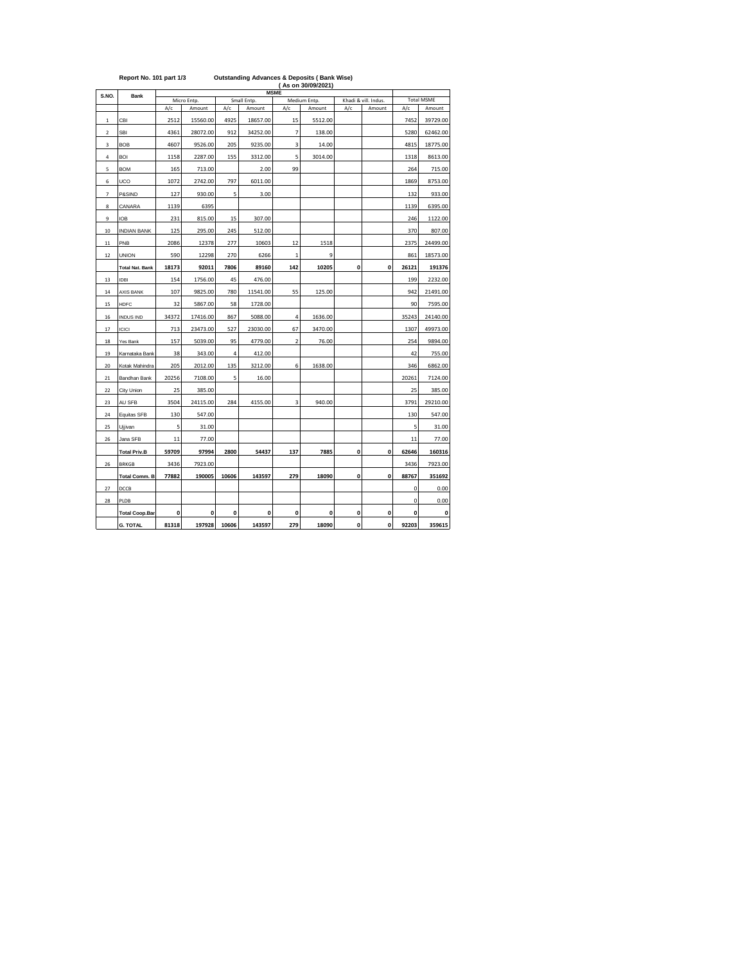|             | Report No. 101 part 1/3 |       |                       | <b>Outstanding Advances &amp; Deposits (Bank Wise)</b><br>(As on 30/09/2021) |                       |                         |                        |              |                                |             |                             |  |  |
|-------------|-------------------------|-------|-----------------------|------------------------------------------------------------------------------|-----------------------|-------------------------|------------------------|--------------|--------------------------------|-------------|-----------------------------|--|--|
| S.NO.       | <b>Bank</b>             |       |                       |                                                                              |                       | <b>MSME</b>             |                        |              |                                |             |                             |  |  |
|             |                         | A/c   | Micro Entp.<br>Amount | A/c                                                                          | Small Entp.<br>Amount | A/c                     | Medium Entp.<br>Amount | A/c          | Khadi & vill. Indus.<br>Amount | A/c         | <b>Total MSME</b><br>Amount |  |  |
| $\,1\,$     | CBI                     | 2512  | 15560.00              | 4925                                                                         | 18657.00              | 15                      | 5512.00                |              |                                | 7452        | 39729.00                    |  |  |
| $\mathbf 2$ | <b>SBI</b>              | 4361  | 28072.00              | 912                                                                          | 34252.00              | 7                       | 138.00                 |              |                                | 5280        | 62462.00                    |  |  |
| 3           | <b>BOB</b>              | 4607  | 9526.00               | 205                                                                          | 9235.00               | 3                       | 14.00                  |              |                                | 4815        | 18775.00                    |  |  |
| 4           | <b>BOI</b>              | 1158  | 2287.00               | 155                                                                          | 3312.00               | 5                       | 3014.00                |              |                                | 1318        | 8613.00                     |  |  |
| 5           | <b>BOM</b>              | 165   | 713.00                |                                                                              | 2.00                  | 99                      |                        |              |                                | 264         | 715.00                      |  |  |
| 6           | UCO                     | 1072  | 2742.00               | 797                                                                          | 6011.00               |                         |                        |              |                                | 1869        | 8753.00                     |  |  |
| 7           | P&SIND                  | 127   | 930.00                | 5                                                                            | 3.00                  |                         |                        |              |                                | 132         | 933.00                      |  |  |
| 8           | CANARA                  | 1139  | 6395                  |                                                                              |                       |                         |                        |              |                                | 1139        | 6395.00                     |  |  |
| 9           | <b>IOB</b>              | 231   | 815.00                | 15                                                                           | 307.00                |                         |                        |              |                                | 246         | 1122.00                     |  |  |
| 10          | <b>INDIAN BANK</b>      | 125   | 295.00                | 245                                                                          | 512.00                |                         |                        |              |                                | 370         | 807.00                      |  |  |
| 11          | PNB                     | 2086  | 12378                 | 277                                                                          | 10603                 | 12                      | 1518                   |              |                                | 2375        | 24499.00                    |  |  |
| 12          | <b>UNION</b>            | 590   | 12298                 | 270                                                                          | 6266                  | $\mathbf 1$             | 9                      |              |                                | 861         | 18573.00                    |  |  |
|             | <b>Total Nat. Bank</b>  | 18173 | 92011                 | 7806                                                                         | 89160                 | 142                     | 10205                  | 0            | $\mathbf{0}$                   | 26121       | 191376                      |  |  |
| 13          | <b>IDBI</b>             | 154   | 1756.00               | 45                                                                           | 476.00                |                         |                        |              |                                | 199         | 2232.00                     |  |  |
| $14\,$      | <b>AXIS BANK</b>        | 107   | 9825.00               | 780                                                                          | 11541.00              | 55                      | 125.00                 |              |                                | 942         | 21491.00                    |  |  |
| 15          | HDFC                    | 32    | 5867.00               | 58                                                                           | 1728.00               |                         |                        |              |                                | 90          | 7595.00                     |  |  |
| 16          | <b>INDUS IND</b>        | 34372 | 17416.00              | 867                                                                          | 5088.00               | 4                       | 1636.00                |              |                                | 35243       | 24140.00                    |  |  |
| 17          | <b>ICICI</b>            | 713   | 23473.00              | 527                                                                          | 23030.00              | 67                      | 3470.00                |              |                                | 1307        | 49973.00                    |  |  |
| 18          | Yes Bank                | 157   | 5039.00               | 95                                                                           | 4779.00               | $\overline{\mathbf{c}}$ | 76.00                  |              |                                | 254         | 9894.00                     |  |  |
| 19          | Karnataka Bank          | 38    | 343.00                | 4                                                                            | 412.00                |                         |                        |              |                                | 42          | 755.00                      |  |  |
| 20          | Kotak Mahindra          | 205   | 2012.00               | 135                                                                          | 3212.00               | 6                       | 1638.00                |              |                                | 346         | 6862.00                     |  |  |
| 21          | Bandhan Bank            | 20256 | 7108.00               | 5                                                                            | 16.00                 |                         |                        |              |                                | 20261       | 7124.00                     |  |  |
| 22          | City Union              | 25    | 385.00                |                                                                              |                       |                         |                        |              |                                | 25          | 385.00                      |  |  |
| 23          | AU SFB                  | 3504  | 24115.00              | 284                                                                          | 4155.00               | 3                       | 940.00                 |              |                                | 3791        | 29210.00                    |  |  |
| 24          | Equitas SFB             | 130   | 547.00                |                                                                              |                       |                         |                        |              |                                | 130         | 547.00                      |  |  |
| 25          | Ujjivan                 | 5     | 31.00                 |                                                                              |                       |                         |                        |              |                                | 5           | 31.00                       |  |  |
| 26          | Jana SFB                | 11    | 77.00                 |                                                                              |                       |                         |                        |              |                                | 11          | 77.00                       |  |  |
|             | <b>Total Priv.B</b>     | 59709 | 97994                 | 2800                                                                         | 54437                 | 137                     | 7885                   | $\mathbf{0}$ | $\mathbf{0}$                   | 62646       | 160316                      |  |  |
| 26          | <b>BRKGB</b>            | 3436  | 7923.00               |                                                                              |                       |                         |                        |              |                                | 3436        | 7923.00                     |  |  |
|             | <b>Total Comm. B</b>    | 77882 | 190005                | 10606                                                                        | 143597                | 279                     | 18090                  | 0            | $\mathbf 0$                    | 88767       | 351692                      |  |  |
| 27          | DCCB                    |       |                       |                                                                              |                       |                         |                        |              |                                | 0           | 0.00                        |  |  |
| 28          | PLDB                    |       |                       |                                                                              |                       |                         |                        |              |                                | $\mathbf 0$ | 0.00                        |  |  |
|             | <b>Total Coop.Bar</b>   | 0     | 0                     | 0                                                                            | 0                     | 0                       | 0                      | 0            | 0                              | $\mathbf 0$ | 0                           |  |  |
|             | <b>G. TOTAL</b>         | 81318 | 197928                | 10606                                                                        | 143597                | 279                     | 18090                  | $\mathbf{0}$ | $\mathbf{0}$                   | 92203       | 359615                      |  |  |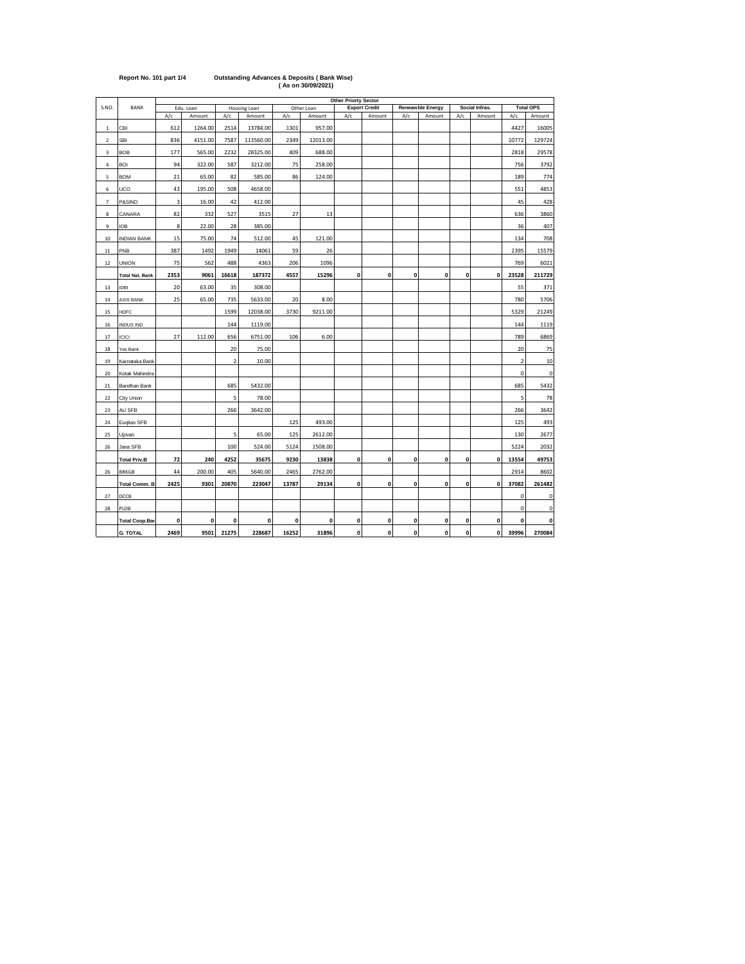|                |                        |      |           |                |              |             |            | <b>Other Priorty Sector</b> |                      |              |                         |              |                |                |                  |
|----------------|------------------------|------|-----------|----------------|--------------|-------------|------------|-----------------------------|----------------------|--------------|-------------------------|--------------|----------------|----------------|------------------|
| S.NO.          | <b>BANK</b>            |      | Edu. Loan |                | Housing Loan |             | Other Loan |                             | <b>Export Credit</b> |              | <b>Reneawble Energy</b> |              | Social Infras. |                | <b>Total OPS</b> |
|                |                        | A/c  | Amount    | A/c            | Amount       | A/c         | Amount     | A/c                         | Amount               | A/c          | Amount                  | A/c          | Amount         | A/c            | Amount           |
| $\mathbf 1$    | CBI                    | 612  | 1264.00   | 2514           | 13784.00     | 1301        | 957.00     |                             |                      |              |                         |              |                | 4427           | 16005            |
| $\overline{2}$ | <b>SBI</b>             | 836  | 4151.00   | 7587           | 113560.00    | 2349        | 12013.00   |                             |                      |              |                         |              |                | 10772          | 129724           |
| 3              | <b>BOB</b>             | 177  | 565.00    | 2232           | 28325.00     | 409         | 688.00     |                             |                      |              |                         |              |                | 2818           | 29578            |
| 4              | <b>BOI</b>             | 94   | 322.00    | 587            | 3212.00      | 75          | 258.00     |                             |                      |              |                         |              |                | 756            | 3792             |
| 5              | <b>BOM</b>             | 21   | 65.00     | 82             | 585.00       | 86          | 124.00     |                             |                      |              |                         |              |                | 189            | 774              |
| 6              | UCO                    | 43   | 195.00    | 508            | 4658.00      |             |            |                             |                      |              |                         |              |                | 551            | 4853             |
| $\overline{7}$ | P&SIND                 | 3    | 16.00     | 42             | 412.00       |             |            |                             |                      |              |                         |              |                | 45             | 428              |
| 8              | CANARA                 | 82   | 332       | 527            | 3515         | 27          | 13         |                             |                      |              |                         |              |                | 636            | 3860             |
| 9              | <b>IOB</b>             | 8    | 22.00     | 28             | 385.00       |             |            |                             |                      |              |                         |              |                | 36             | 407              |
| 10             | <b>INDIAN BANK</b>     | 15   | 75.00     | 74             | 512.00       | 45          | 121.00     |                             |                      |              |                         |              |                | 134            | 708              |
| $11\,$         | PNB                    | 387  | 1492      | 1949           | 14061        | 59          | 26         |                             |                      |              |                         |              |                | 2395           | 15579            |
| 12             | <b>UNION</b>           | 75   | 562       | 488            | 4363         | 206         | 1096       |                             |                      |              |                         |              |                | 769            | 6021             |
|                | <b>Total Nat. Bank</b> | 2353 | 9061      | 16618          | 187372       | 4557        | 15296      | $\mathbf 0$                 | $\mathbf 0$          | $\mathbf{0}$ | $\mathbf{0}$            | $\mathbf{0}$ | $\mathbf{0}$   | 23528          | 211729           |
| 13             | <b>IDBI</b>            | 20   | 63.00     | 35             | 308.00       |             |            |                             |                      |              |                         |              |                | 55             | 371              |
| 14             | <b>AXIS BANK</b>       | 25   | 65.00     | 735            | 5633.00      | 20          | 8.00       |                             |                      |              |                         |              |                | 780            | 5706             |
| 15             | <b>HDFC</b>            |      |           | 1599           | 12038.00     | 3730        | 9211.00    |                             |                      |              |                         |              |                | 5329           | 21249            |
| 16             | <b>INDUS IND</b>       |      |           | 144            | 1119.00      |             |            |                             |                      |              |                         |              |                | 144            | 1119             |
| 17             | ICICI                  | 27   | 112.00    | 656            | 6751.00      | 106         | 6.00       |                             |                      |              |                         |              |                | 789            | 6869             |
| 18             | Yes Bank               |      |           | 20             | 75.00        |             |            |                             |                      |              |                         |              |                | 20             | 75               |
| 19             | Karnataka Bank         |      |           | $\overline{2}$ | 10.00        |             |            |                             |                      |              |                         |              |                | $\overline{2}$ | 10               |
| 20             | Kotak Mahindra         |      |           |                |              |             |            |                             |                      |              |                         |              |                | $\pmb{0}$      | 0                |
| 21             | Bandhan Bank           |      |           | 685            | 5432.00      |             |            |                             |                      |              |                         |              |                | 685            | 5432             |
| 22             | City Union             |      |           | 5              | 78.00        |             |            |                             |                      |              |                         |              |                | 5              | 78               |
| 23             | AU SFB                 |      |           | 266            | 3642.00      |             |            |                             |                      |              |                         |              |                | 266            | 3642             |
| 24             | Euqitas SFB            |      |           |                |              | 125         | 493.00     |                             |                      |              |                         |              |                | 125            | 493              |
| 25             | Ujjivan                |      |           | 5              | 65.00        | 125         | 2612.00    |                             |                      |              |                         |              |                | 130            | 2677             |
| 26             | Jana SFB               |      |           | 100            | 524.00       | 5124        | 1508.00    |                             |                      |              |                         |              |                | 5224           | 2032             |
|                | <b>Total Priv.B</b>    | 72   | 240       | 4252           | 35675        | 9230        | 13838      | $\mathbf{0}$                | 0                    | 0            | 0                       | $\mathbf 0$  | 0              | 13554          | 49753            |
| 26             | <b>BRKGB</b>           | 44   | 200.00    | 405            | 5640.00      | 2465        | 2762.00    |                             |                      |              |                         |              |                | 2914           | 8602             |
|                | Total Comm. B.         | 2425 | 9301      | 20870          | 223047       | 13787       | 29134      | $\mathbf{0}$                | $\mathbf{0}$         | $\mathbf{0}$ | 0                       | $\mathbf{0}$ | 0              | 37082          | 261482           |
| 27             | DCCB                   |      |           |                |              |             |            |                             |                      |              |                         |              |                | $\mathbf 0$    | $\mathbf 0$      |
| 28             | PLDB                   |      |           |                |              |             |            |                             |                      |              |                         |              |                | $\mathbf 0$    | 0                |
|                | <b>Total Coop.Bar</b>  | 0    | 0         | $\mathbf{0}$   | $\mathbf{0}$ | $\mathbf 0$ | 0          | $\mathbf{0}$                | 0                    | 0            | 0                       | 0            | 0              | $\mathbf 0$    | 0                |
|                | <b>G. TOTAL</b>        | 2469 | 9501      | 21275          | 228687       | 16252       | 31896      | 0                           | 0                    | $\mathbf{0}$ | $\mathbf{0}$            | 0            | 0              | 39996          | 270084           |

**Report No. 101 part 1/4 Outstanding Advances & Deposits ( Bank Wise) ( As on 30/09/2021)**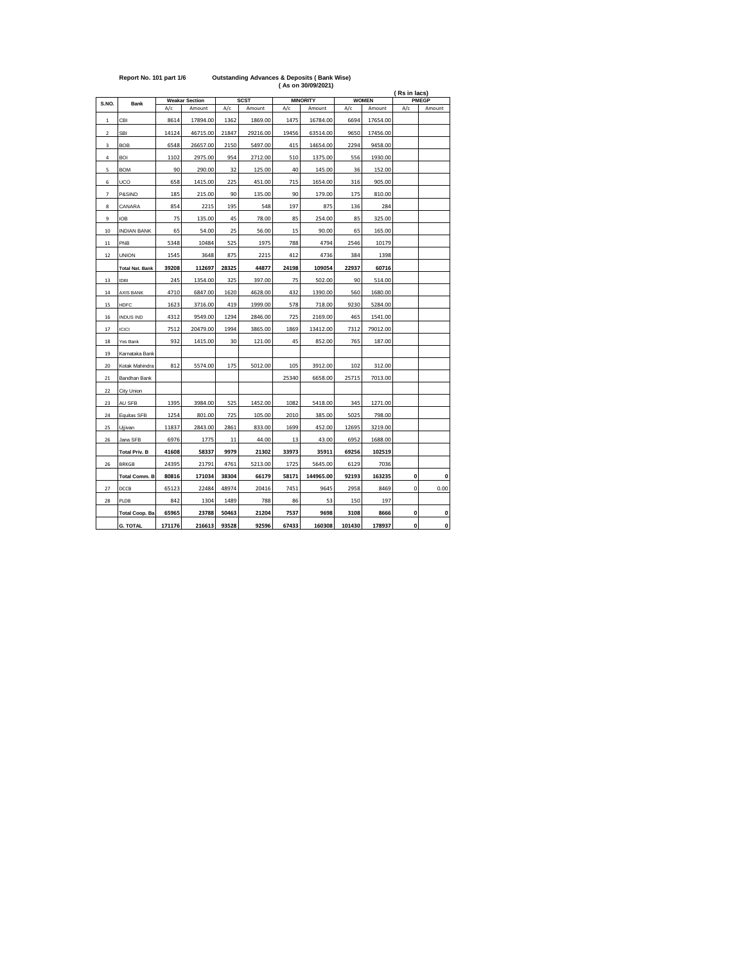|                          |                        |        |                       |       |             |       | (As on 30/09/2021) |        |              | (Rs in lacs) |              |
|--------------------------|------------------------|--------|-----------------------|-------|-------------|-------|--------------------|--------|--------------|--------------|--------------|
| S.NO.                    | <b>Bank</b>            |        | <b>Weakar Section</b> |       | <b>SCST</b> |       | <b>MINORITY</b>    |        | <b>WOMEN</b> |              | <b>PMEGP</b> |
|                          |                        | A/c    | Amount                | A/c   | Amount      | A/c   | Amount             | A/c    | Amount       | A/c          | Amount       |
| $\mathbf 1$              | CBI                    | 8614   | 17894.00              | 1362  | 1869.00     | 1475  | 16784.00           | 6694   | 17654.00     |              |              |
| $\overline{\mathbf{c}}$  | <b>SBI</b>             | 14124  | 46715.00              | 21847 | 29216.00    | 19456 | 63514.00           | 9650   | 17456.00     |              |              |
| 3                        | <b>BOB</b>             | 6548   | 26657.00              | 2150  | 5497.00     | 415   | 14654.00           | 2294   | 9458.00      |              |              |
| 4                        | <b>BOI</b>             | 1102   | 2975.00               | 954   | 2712.00     | 510   | 1375.00            | 556    | 1930.00      |              |              |
| 5                        | <b>BOM</b>             | 90     | 290.00                | 32    | 125.00      | 40    | 145.00             | 36     | 152.00       |              |              |
| 6                        | UCO                    | 658    | 1415.00               | 225   | 451.00      | 715   | 1654.00            | 316    | 905.00       |              |              |
| $\overline{\phantom{a}}$ | P&SIND                 | 185    | 215.00                | 90    | 135.00      | 90    | 179.00             | 175    | 810.00       |              |              |
| 8                        | CANARA                 | 854    | 2215                  | 195   | 548         | 197   | 875                | 136    | 284          |              |              |
| 9                        | <b>IOB</b>             | 75     | 135.00                | 45    | 78.00       | 85    | 254.00             | 85     | 325.00       |              |              |
| 10                       | <b>INDIAN BANK</b>     | 65     | 54.00                 | 25    | 56.00       | 15    | 90.00              | 65     | 165.00       |              |              |
| 11                       | PNB                    | 5348   | 10484                 | 525   | 1975        | 788   | 4794               | 2546   | 10179        |              |              |
| 12                       | <b>UNION</b>           | 1545   | 3648                  | 875   | 2215        | 412   | 4736               | 384    | 1398         |              |              |
|                          | <b>Total Nat. Bank</b> | 39208  | 112697                | 28325 | 44877       | 24198 | 109054             | 22937  | 60716        |              |              |
| 13                       | IDBI                   | 245    | 1354.00               | 325   | 397.00      | 75    | 502.00             | 90     | 514.00       |              |              |
| 14                       | <b>AXIS BANK</b>       | 4710   | 6847.00               | 1620  | 4628.00     | 432   | 1390.00            | 560    | 1680.00      |              |              |
| 15                       | HDFC                   | 1623   | 3716.00               | 419   | 1999.00     | 578   | 718.00             | 9230   | 5284.00      |              |              |
| 16                       | <b>INDUS IND</b>       | 4312   | 9549.00               | 1294  | 2846.00     | 725   | 2169.00            | 465    | 1541.00      |              |              |
| 17                       | ICICI                  | 7512   | 20479.00              | 1994  | 3865.00     | 1869  | 13412.00           | 7312   | 79012.00     |              |              |
| 18                       | Yes Bank               | 932    | 1415.00               | 30    | 121.00      | 45    | 852.00             | 765    | 187.00       |              |              |
| 19                       | Karnataka Bank         |        |                       |       |             |       |                    |        |              |              |              |
| 20                       | Kotak Mahindra         | 812    | 5574.00               | 175   | 5012.00     | 105   | 3912.00            | 102    | 312.00       |              |              |
| 21                       | Bandhan Bank           |        |                       |       |             | 25340 | 6658.00            | 25715  | 7013.00      |              |              |
| 22                       | City Union             |        |                       |       |             |       |                    |        |              |              |              |
| 23                       | AU SFB                 | 1395   | 3984.00               | 525   | 1452.00     | 1082  | 5418.00            | 345    | 1271.00      |              |              |
| 24                       | Equitas SFB            | 1254   | 801.00                | 725   | 105.00      | 2010  | 385.00             | 5025   | 798.00       |              |              |
| 25                       | Ujjivan                | 11837  | 2843.00               | 2861  | 833.00      | 1699  | 452.00             | 12695  | 3219.00      |              |              |
| 26                       | Jana SFB               | 6976   | 1775                  | 11    | 44.00       | 13    | 43.00              | 6952   | 1688.00      |              |              |
|                          | <b>Total Priv. B</b>   | 41608  | 58337                 | 9979  | 21302       | 33973 | 35911              | 69256  | 102519       |              |              |
| 26                       | <b>BRKGB</b>           | 24395  | 21791                 | 4761  | 5213.00     | 1725  | 5645.00            | 6129   | 7036         |              |              |
|                          | <b>Total Comm. B</b>   | 80816  | 171034                | 38304 | 66179       | 58171 | 144965.00          | 92193  | 163235       | 0            | 0            |
| 27                       | DCCB                   | 65123  | 22484                 | 48974 | 20416       | 7451  | 9645               | 2958   | 8469         | 0            | 0.00         |
| 28                       | PLDB                   | 842    | 1304                  | 1489  | 788         | 86    | 53                 | 150    | 197          |              |              |
|                          | <b>Total Coop. Ba</b>  | 65965  | 23788                 | 50463 | 21204       | 7537  | 9698               | 3108   | 8666         | 0            | 0            |
|                          | <b>G. TOTAL</b>        | 171176 | 216613                | 93528 | 92596       | 67433 | 160308             | 101430 | 178937       | 0            | $\mathbf 0$  |

**Report No. 101 part 1/6 Outstanding Advances & Deposits ( Bank Wise)**